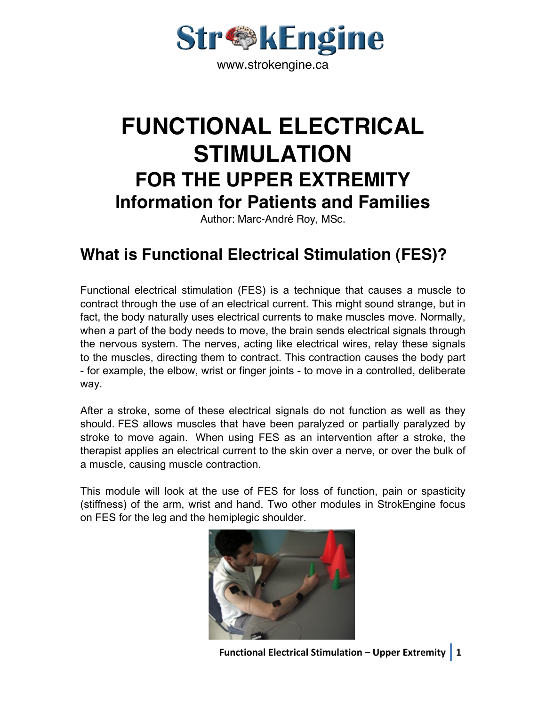

# **FUNCTIONAL ELECTRICAL STIMULATION FOR THE UPPER EXTREMITY Information for Patients and Families**

Author: Marc-André Roy, MSc.

# **What is Functional Electrical Stimulation (FES)?**

Functional electrical stimulation (FES) is a technique that causes a muscle to contract through the use of an electrical current. This might sound strange, but in fact, the body naturally uses electrical currents to make muscles move. Normally, when a part of the body needs to move, the brain sends electrical signals through the nervous system. The nerves, acting like electrical wires, relay these signals to the muscles, directing them to contract. This contraction causes the body part - for example, the elbow, wrist or finger joints - to move in a controlled, deliberate way.

After a stroke, some of these electrical signals do not function as well as they should. FES allows muscles that have been paralyzed or partially paralyzed by stroke to move again. When using FES as an intervention after a stroke, the therapist applies an electrical current to the skin over a nerve, or over the bulk of a muscle, causing muscle contraction.

This module will look at the use of FES for loss of function, pain or spasticity (stiffness) of the arm, wrist and hand. Two other modules in StrokEngine focus on FES for the leg and the hemiplegic shoulder.



**Functional Electrical Stimulation – Upper Extremity** 1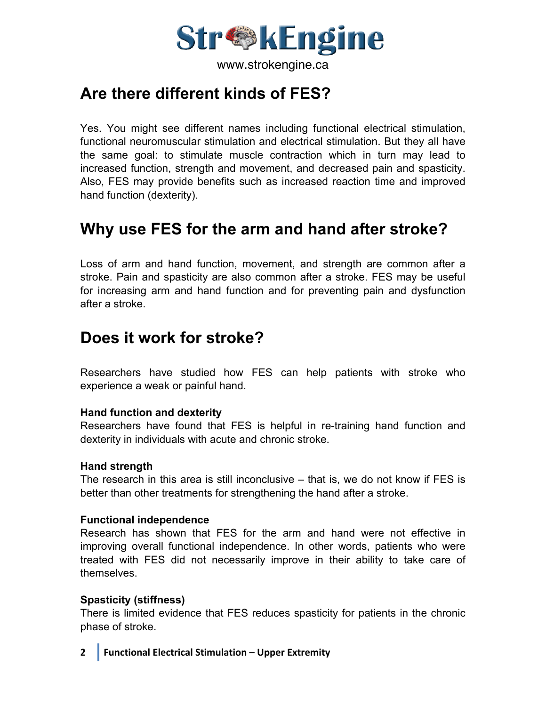

### **Are there different kinds of FES?**

Yes. You might see different names including functional electrical stimulation, functional neuromuscular stimulation and electrical stimulation. But they all have the same goal: to stimulate muscle contraction which in turn may lead to increased function, strength and movement, and decreased pain and spasticity. Also, FES may provide benefits such as increased reaction time and improved hand function (dexterity).

### **Why use FES for the arm and hand after stroke?**

Loss of arm and hand function, movement, and strength are common after a stroke. Pain and spasticity are also common after a stroke. FES may be useful for increasing arm and hand function and for preventing pain and dysfunction after a stroke.

### **Does it work for stroke?**

Researchers have studied how FES can help patients with stroke who experience a weak or painful hand.

#### **Hand function and dexterity**

Researchers have found that FES is helpful in re-training hand function and dexterity in individuals with acute and chronic stroke.

#### **Hand strength**

The research in this area is still inconclusive – that is, we do not know if FES is better than other treatments for strengthening the hand after a stroke.

#### **Functional independence**

Research has shown that FES for the arm and hand were not effective in improving overall functional independence. In other words, patients who were treated with FES did not necessarily improve in their ability to take care of themselves.

#### **Spasticity (stiffness)**

There is limited evidence that FES reduces spasticity for patients in the chronic phase of stroke.

**2 Functional Electrical Stimulation – Upper Extremity**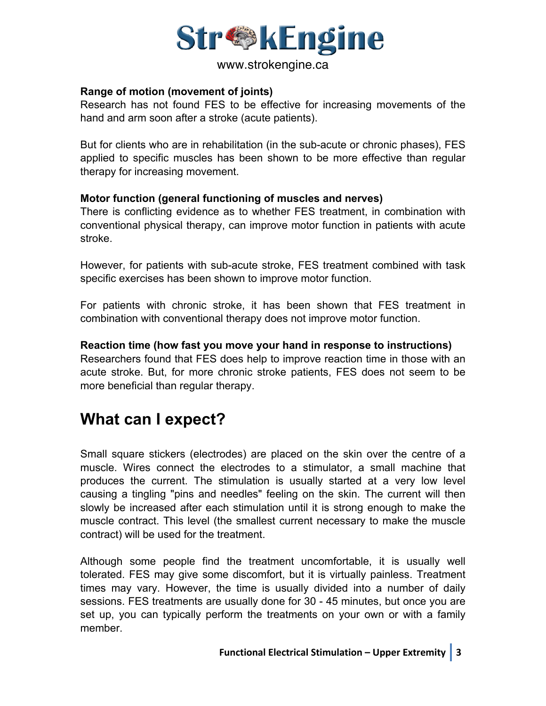

#### www.strokengine.ca

#### **Range of motion (movement of joints)**

Research has not found FES to be effective for increasing movements of the hand and arm soon after a stroke (acute patients).

But for clients who are in rehabilitation (in the sub-acute or chronic phases), FES applied to specific muscles has been shown to be more effective than regular therapy for increasing movement.

#### **Motor function (general functioning of muscles and nerves)**

There is conflicting evidence as to whether FES treatment, in combination with conventional physical therapy, can improve motor function in patients with acute stroke.

However, for patients with sub-acute stroke, FES treatment combined with task specific exercises has been shown to improve motor function.

For patients with chronic stroke, it has been shown that FES treatment in combination with conventional therapy does not improve motor function.

#### **Reaction time (how fast you move your hand in response to instructions)**

Researchers found that FES does help to improve reaction time in those with an acute stroke. But, for more chronic stroke patients, FES does not seem to be more beneficial than regular therapy.

### **What can I expect?**

Small square stickers (electrodes) are placed on the skin over the centre of a muscle. Wires connect the electrodes to a stimulator, a small machine that produces the current. The stimulation is usually started at a very low level causing a tingling "pins and needles" feeling on the skin. The current will then slowly be increased after each stimulation until it is strong enough to make the muscle contract. This level (the smallest current necessary to make the muscle contract) will be used for the treatment.

Although some people find the treatment uncomfortable, it is usually well tolerated. FES may give some discomfort, but it is virtually painless. Treatment times may vary. However, the time is usually divided into a number of daily sessions. FES treatments are usually done for 30 - 45 minutes, but once you are set up, you can typically perform the treatments on your own or with a family member.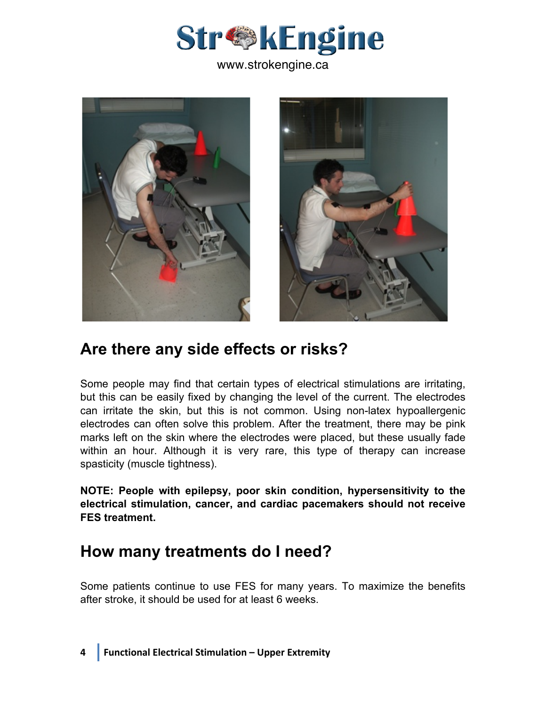

www.strokengine.ca





### **Are there any side effects or risks?**

Some people may find that certain types of electrical stimulations are irritating, but this can be easily fixed by changing the level of the current. The electrodes can irritate the skin, but this is not common. Using non-latex hypoallergenic electrodes can often solve this problem. After the treatment, there may be pink marks left on the skin where the electrodes were placed, but these usually fade within an hour. Although it is very rare, this type of therapy can increase spasticity (muscle tightness).

**NOTE: People with epilepsy, poor skin condition, hypersensitivity to the electrical stimulation, cancer, and cardiac pacemakers should not receive FES treatment.**

### **How many treatments do I need?**

Some patients continue to use FES for many years. To maximize the benefits after stroke, it should be used for at least 6 weeks.